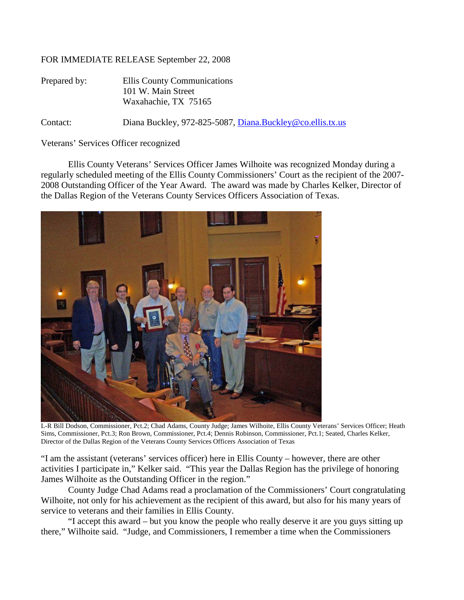## FOR IMMEDIATE RELEASE September 22, 2008

| Prepared by: | Ellis County Communications<br>101 W. Main Street<br>Waxahachie, TX 75165 |
|--------------|---------------------------------------------------------------------------|
| Contact:     | Diana Buckley, 972-825-5087, Diana.Buckley@co.ellis.tx.us                 |

Veterans' Services Officer recognized

Ellis County Veterans' Services Officer James Wilhoite was recognized Monday during a regularly scheduled meeting of the Ellis County Commissioners' Court as the recipient of the 2007- 2008 Outstanding Officer of the Year Award. The award was made by Charles Kelker, Director of the Dallas Region of the Veterans County Services Officers Association of Texas.



L-R Bill Dodson, Commissioner, Pct.2; Chad Adams, County Judge; James Wilhoite, Ellis County Veterans' Services Officer; Heath Sims, Commissioner, Pct.3; Ron Brown, Commissioner, Pct.4; Dennis Robinson, Commissioner, Pct.1; Seated, Charles Kelker, Director of the Dallas Region of the Veterans County Services Officers Association of Texas

"I am the assistant (veterans' services officer) here in Ellis County – however, there are other activities I participate in," Kelker said. "This year the Dallas Region has the privilege of honoring James Wilhoite as the Outstanding Officer in the region."

County Judge Chad Adams read a proclamation of the Commissioners' Court congratulating Wilhoite, not only for his achievement as the recipient of this award, but also for his many years of service to veterans and their families in Ellis County.

"I accept this award – but you know the people who really deserve it are you guys sitting up there," Wilhoite said. "Judge, and Commissioners, I remember a time when the Commissioners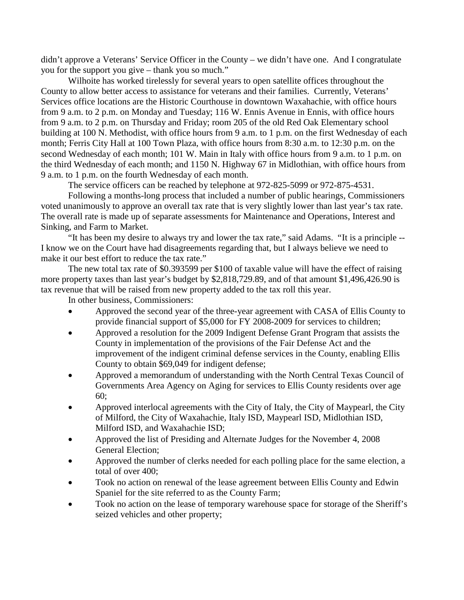didn't approve a Veterans' Service Officer in the County – we didn't have one. And I congratulate you for the support you give – thank you so much."

Wilhoite has worked tirelessly for several years to open satellite offices throughout the County to allow better access to assistance for veterans and their families. Currently, Veterans' Services office locations are the Historic Courthouse in downtown Waxahachie, with office hours from 9 a.m. to 2 p.m. on Monday and Tuesday; 116 W. Ennis Avenue in Ennis, with office hours from 9 a.m. to 2 p.m. on Thursday and Friday; room 205 of the old Red Oak Elementary school building at 100 N. Methodist, with office hours from 9 a.m. to 1 p.m. on the first Wednesday of each month; Ferris City Hall at 100 Town Plaza, with office hours from 8:30 a.m. to 12:30 p.m. on the second Wednesday of each month; 101 W. Main in Italy with office hours from 9 a.m. to 1 p.m. on the third Wednesday of each month; and 1150 N. Highway 67 in Midlothian, with office hours from 9 a.m. to 1 p.m. on the fourth Wednesday of each month.

The service officers can be reached by telephone at 972-825-5099 or 972-875-4531.

Following a months-long process that included a number of public hearings, Commissioners voted unanimously to approve an overall tax rate that is very slightly lower than last year's tax rate. The overall rate is made up of separate assessments for Maintenance and Operations, Interest and Sinking, and Farm to Market.

"It has been my desire to always try and lower the tax rate," said Adams. "It is a principle -- I know we on the Court have had disagreements regarding that, but I always believe we need to make it our best effort to reduce the tax rate."

The new total tax rate of \$0.393599 per \$100 of taxable value will have the effect of raising more property taxes than last year's budget by \$2,818,729.89, and of that amount \$1,496,426.90 is tax revenue that will be raised from new property added to the tax roll this year.

In other business, Commissioners:

- Approved the second year of the three-year agreement with CASA of Ellis County to provide financial support of \$5,000 for FY 2008-2009 for services to children;
- Approved a resolution for the 2009 Indigent Defense Grant Program that assists the County in implementation of the provisions of the Fair Defense Act and the improvement of the indigent criminal defense services in the County, enabling Ellis County to obtain \$69,049 for indigent defense;
- Approved a memorandum of understanding with the North Central Texas Council of Governments Area Agency on Aging for services to Ellis County residents over age 60;
- Approved interlocal agreements with the City of Italy, the City of Maypearl, the City of Milford, the City of Waxahachie, Italy ISD, Maypearl ISD, Midlothian ISD, Milford ISD, and Waxahachie ISD;
- Approved the list of Presiding and Alternate Judges for the November 4, 2008 General Election;
- Approved the number of clerks needed for each polling place for the same election, a total of over 400;
- Took no action on renewal of the lease agreement between Ellis County and Edwin Spaniel for the site referred to as the County Farm;
- Took no action on the lease of temporary warehouse space for storage of the Sheriff's seized vehicles and other property;